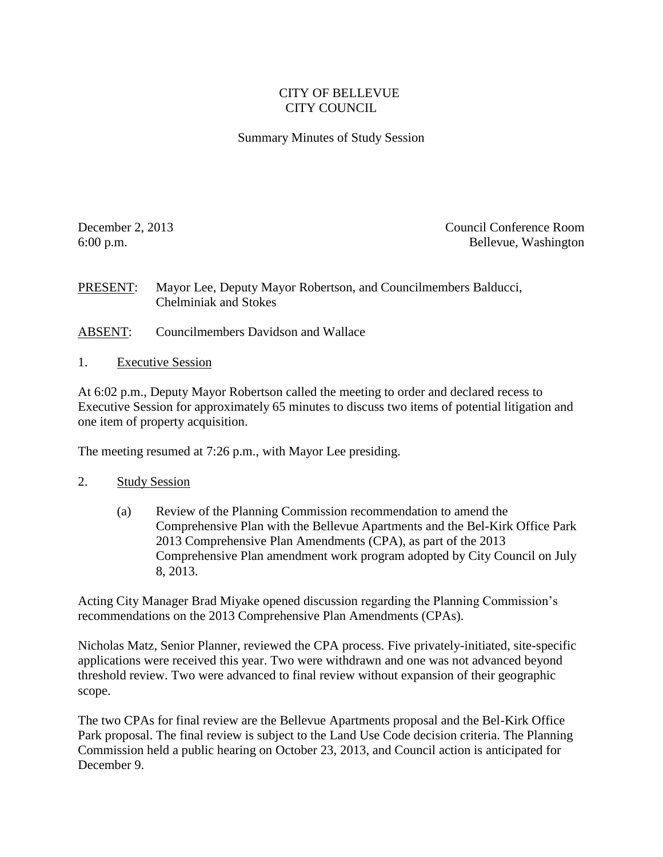## CITY OF BELLEVUE CITY COUNCIL

## Summary Minutes of Study Session

December 2, 2013 Council Conference Room 6:00 p.m. Bellevue, Washington

PRESENT: Mayor Lee, Deputy Mayor Robertson, and Councilmembers Balducci, Chelminiak and Stokes

- ABSENT: Councilmembers Davidson and Wallace
- 1. Executive Session

At 6:02 p.m., Deputy Mayor Robertson called the meeting to order and declared recess to Executive Session for approximately 65 minutes to discuss two items of potential litigation and one item of property acquisition.

The meeting resumed at 7:26 p.m., with Mayor Lee presiding.

## 2. Study Session

(a) Review of the Planning Commission recommendation to amend the Comprehensive Plan with the Bellevue Apartments and the Bel-Kirk Office Park 2013 Comprehensive Plan Amendments (CPA), as part of the 2013 Comprehensive Plan amendment work program adopted by City Council on July 8, 2013.

Acting City Manager Brad Miyake opened discussion regarding the Planning Commission's recommendations on the 2013 Comprehensive Plan Amendments (CPAs).

Nicholas Matz, Senior Planner, reviewed the CPA process. Five privately-initiated, site-specific applications were received this year. Two were withdrawn and one was not advanced beyond threshold review. Two were advanced to final review without expansion of their geographic scope.

The two CPAs for final review are the Bellevue Apartments proposal and the Bel-Kirk Office Park proposal. The final review is subject to the Land Use Code decision criteria. The Planning Commission held a public hearing on October 23, 2013, and Council action is anticipated for December 9.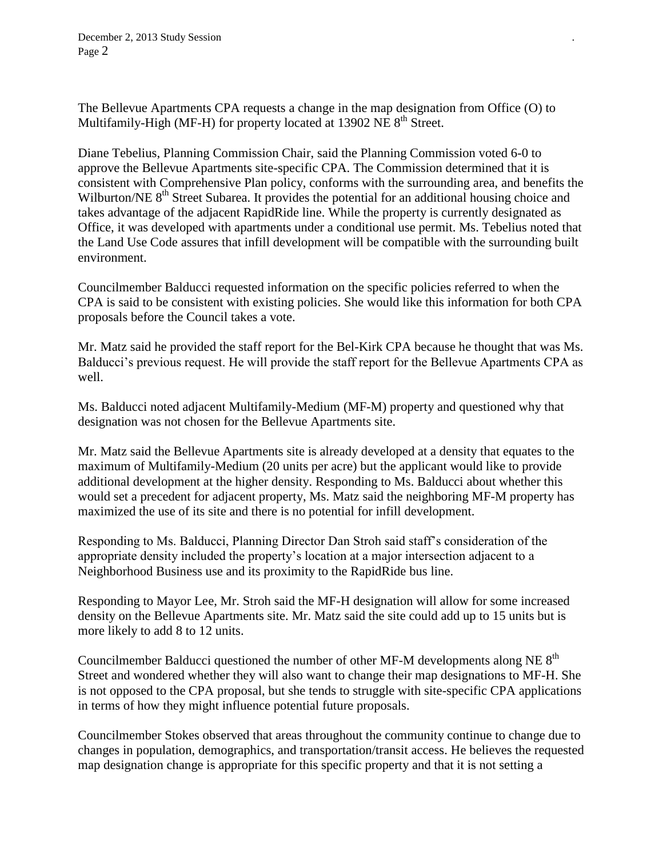The Bellevue Apartments CPA requests a change in the map designation from Office (O) to Multifamily-High (MF-H) for property located at 13902 NE  $8<sup>th</sup>$  Street.

Diane Tebelius, Planning Commission Chair, said the Planning Commission voted 6-0 to approve the Bellevue Apartments site-specific CPA. The Commission determined that it is consistent with Comprehensive Plan policy, conforms with the surrounding area, and benefits the Wilburton/NE 8<sup>th</sup> Street Subarea. It provides the potential for an additional housing choice and takes advantage of the adjacent RapidRide line. While the property is currently designated as Office, it was developed with apartments under a conditional use permit. Ms. Tebelius noted that the Land Use Code assures that infill development will be compatible with the surrounding built environment.

Councilmember Balducci requested information on the specific policies referred to when the CPA is said to be consistent with existing policies. She would like this information for both CPA proposals before the Council takes a vote.

Mr. Matz said he provided the staff report for the Bel-Kirk CPA because he thought that was Ms. Balducci's previous request. He will provide the staff report for the Bellevue Apartments CPA as well.

Ms. Balducci noted adjacent Multifamily-Medium (MF-M) property and questioned why that designation was not chosen for the Bellevue Apartments site.

Mr. Matz said the Bellevue Apartments site is already developed at a density that equates to the maximum of Multifamily-Medium (20 units per acre) but the applicant would like to provide additional development at the higher density. Responding to Ms. Balducci about whether this would set a precedent for adjacent property, Ms. Matz said the neighboring MF-M property has maximized the use of its site and there is no potential for infill development.

Responding to Ms. Balducci, Planning Director Dan Stroh said staff's consideration of the appropriate density included the property's location at a major intersection adjacent to a Neighborhood Business use and its proximity to the RapidRide bus line.

Responding to Mayor Lee, Mr. Stroh said the MF-H designation will allow for some increased density on the Bellevue Apartments site. Mr. Matz said the site could add up to 15 units but is more likely to add 8 to 12 units.

Councilmember Balducci questioned the number of other MF-M developments along NE  $8<sup>th</sup>$ Street and wondered whether they will also want to change their map designations to MF-H. She is not opposed to the CPA proposal, but she tends to struggle with site-specific CPA applications in terms of how they might influence potential future proposals.

Councilmember Stokes observed that areas throughout the community continue to change due to changes in population, demographics, and transportation/transit access. He believes the requested map designation change is appropriate for this specific property and that it is not setting a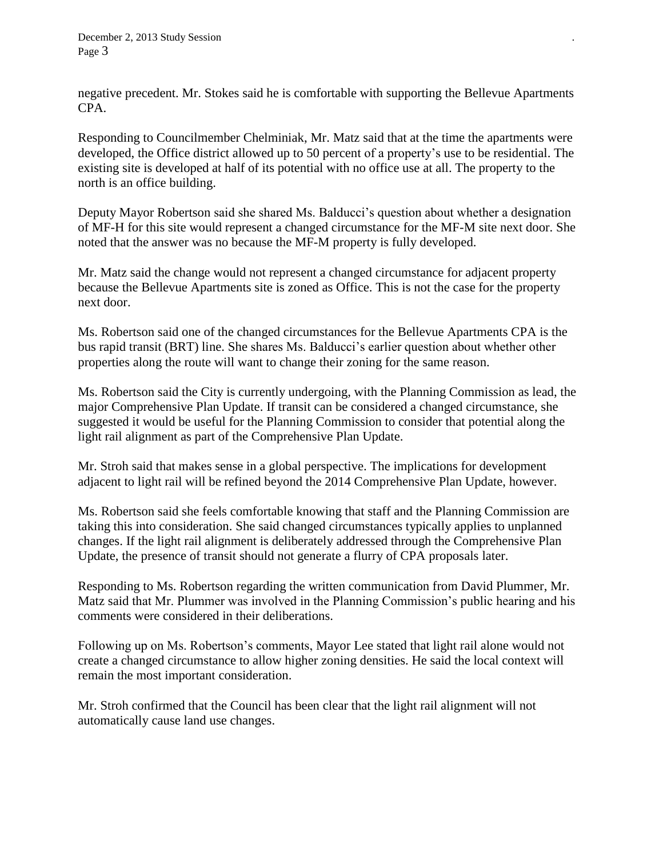negative precedent. Mr. Stokes said he is comfortable with supporting the Bellevue Apartments CPA.

Responding to Councilmember Chelminiak, Mr. Matz said that at the time the apartments were developed, the Office district allowed up to 50 percent of a property's use to be residential. The existing site is developed at half of its potential with no office use at all. The property to the north is an office building.

Deputy Mayor Robertson said she shared Ms. Balducci's question about whether a designation of MF-H for this site would represent a changed circumstance for the MF-M site next door. She noted that the answer was no because the MF-M property is fully developed.

Mr. Matz said the change would not represent a changed circumstance for adjacent property because the Bellevue Apartments site is zoned as Office. This is not the case for the property next door.

Ms. Robertson said one of the changed circumstances for the Bellevue Apartments CPA is the bus rapid transit (BRT) line. She shares Ms. Balducci's earlier question about whether other properties along the route will want to change their zoning for the same reason.

Ms. Robertson said the City is currently undergoing, with the Planning Commission as lead, the major Comprehensive Plan Update. If transit can be considered a changed circumstance, she suggested it would be useful for the Planning Commission to consider that potential along the light rail alignment as part of the Comprehensive Plan Update.

Mr. Stroh said that makes sense in a global perspective. The implications for development adjacent to light rail will be refined beyond the 2014 Comprehensive Plan Update, however.

Ms. Robertson said she feels comfortable knowing that staff and the Planning Commission are taking this into consideration. She said changed circumstances typically applies to unplanned changes. If the light rail alignment is deliberately addressed through the Comprehensive Plan Update, the presence of transit should not generate a flurry of CPA proposals later.

Responding to Ms. Robertson regarding the written communication from David Plummer, Mr. Matz said that Mr. Plummer was involved in the Planning Commission's public hearing and his comments were considered in their deliberations.

Following up on Ms. Robertson's comments, Mayor Lee stated that light rail alone would not create a changed circumstance to allow higher zoning densities. He said the local context will remain the most important consideration.

Mr. Stroh confirmed that the Council has been clear that the light rail alignment will not automatically cause land use changes.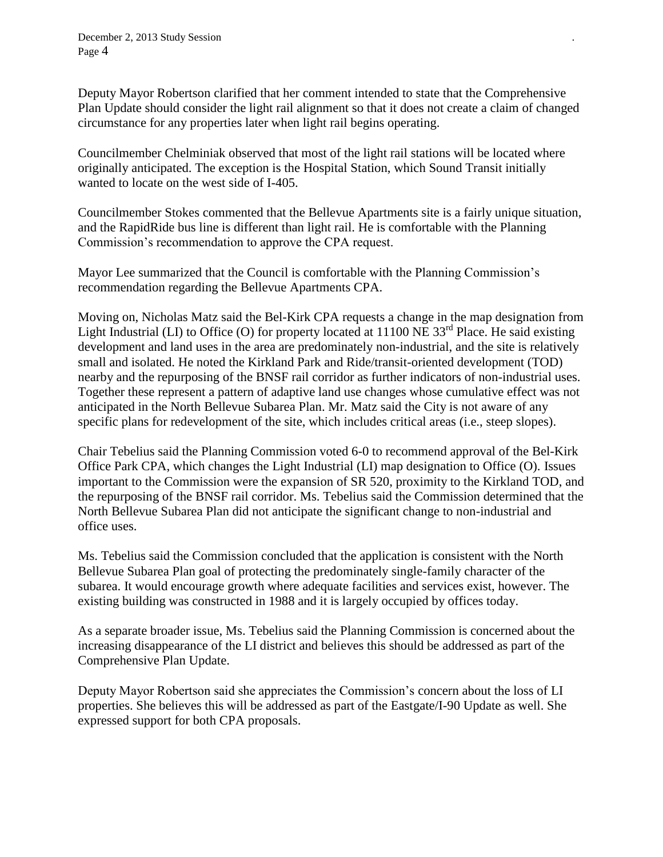Deputy Mayor Robertson clarified that her comment intended to state that the Comprehensive Plan Update should consider the light rail alignment so that it does not create a claim of changed circumstance for any properties later when light rail begins operating.

Councilmember Chelminiak observed that most of the light rail stations will be located where originally anticipated. The exception is the Hospital Station, which Sound Transit initially wanted to locate on the west side of I-405.

Councilmember Stokes commented that the Bellevue Apartments site is a fairly unique situation, and the RapidRide bus line is different than light rail. He is comfortable with the Planning Commission's recommendation to approve the CPA request.

Mayor Lee summarized that the Council is comfortable with the Planning Commission's recommendation regarding the Bellevue Apartments CPA.

Moving on, Nicholas Matz said the Bel-Kirk CPA requests a change in the map designation from Light Industrial (LI) to Office (O) for property located at  $11100$  NE  $33<sup>rd</sup>$  Place. He said existing development and land uses in the area are predominately non-industrial, and the site is relatively small and isolated. He noted the Kirkland Park and Ride/transit-oriented development (TOD) nearby and the repurposing of the BNSF rail corridor as further indicators of non-industrial uses. Together these represent a pattern of adaptive land use changes whose cumulative effect was not anticipated in the North Bellevue Subarea Plan. Mr. Matz said the City is not aware of any specific plans for redevelopment of the site, which includes critical areas (i.e., steep slopes).

Chair Tebelius said the Planning Commission voted 6-0 to recommend approval of the Bel-Kirk Office Park CPA, which changes the Light Industrial (LI) map designation to Office (O). Issues important to the Commission were the expansion of SR 520, proximity to the Kirkland TOD, and the repurposing of the BNSF rail corridor. Ms. Tebelius said the Commission determined that the North Bellevue Subarea Plan did not anticipate the significant change to non-industrial and office uses.

Ms. Tebelius said the Commission concluded that the application is consistent with the North Bellevue Subarea Plan goal of protecting the predominately single-family character of the subarea. It would encourage growth where adequate facilities and services exist, however. The existing building was constructed in 1988 and it is largely occupied by offices today.

As a separate broader issue, Ms. Tebelius said the Planning Commission is concerned about the increasing disappearance of the LI district and believes this should be addressed as part of the Comprehensive Plan Update.

Deputy Mayor Robertson said she appreciates the Commission's concern about the loss of LI properties. She believes this will be addressed as part of the Eastgate/I-90 Update as well. She expressed support for both CPA proposals.